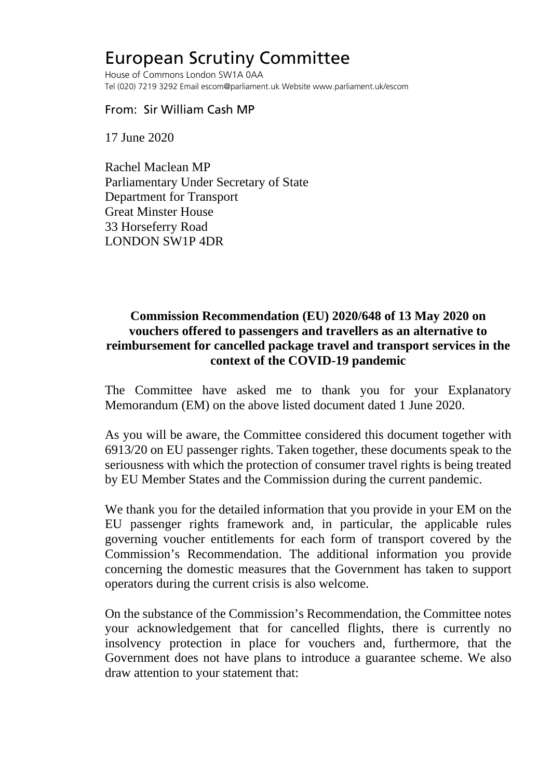## European Scrutiny Committee

House of Commons London SW1A 0AA Tel (020) 7219 3292 Email escom@parliament.uk Website www.parliament.uk/escom

## From: Sir William Cash MP

17 June 2020

Rachel Maclean MP Parliamentary Under Secretary of State Department for Transport Great Minster House 33 Horseferry Road LONDON SW1P 4DR

## **Commission Recommendation (EU) 2020/648 of 13 May 2020 on vouchers offered to passengers and travellers as an alternative to reimbursement for cancelled package travel and transport services in the context of the COVID-19 pandemic**

The Committee have asked me to thank you for your Explanatory Memorandum (EM) on the above listed document dated 1 June 2020.

As you will be aware, the Committee considered this document together with 6913/20 on EU passenger rights. Taken together, these documents speak to the seriousness with which the protection of consumer travel rights is being treated by EU Member States and the Commission during the current pandemic.

We thank you for the detailed information that you provide in your EM on the EU passenger rights framework and, in particular, the applicable rules governing voucher entitlements for each form of transport covered by the Commission's Recommendation. The additional information you provide concerning the domestic measures that the Government has taken to support operators during the current crisis is also welcome.

On the substance of the Commission's Recommendation, the Committee notes your acknowledgement that for cancelled flights, there is currently no insolvency protection in place for vouchers and, furthermore, that the Government does not have plans to introduce a guarantee scheme. We also draw attention to your statement that: